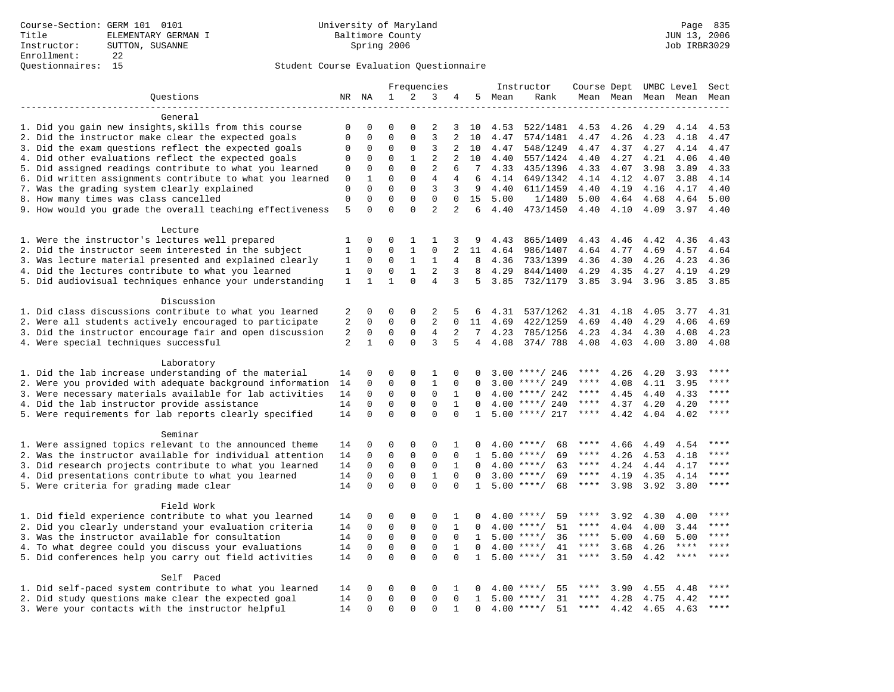|                                                                       |                   |              |              |              | Frequencies    |                |              |        | Instructor         | Course Dept UMBC Level Sect |      |      |                          |             |
|-----------------------------------------------------------------------|-------------------|--------------|--------------|--------------|----------------|----------------|--------------|--------|--------------------|-----------------------------|------|------|--------------------------|-------------|
| Questions                                                             |                   | NR NA        | $\mathbf{1}$ | 2            | 3              | 4              |              | 5 Mean | Rank               |                             |      |      | Mean Mean Mean Mean Mean |             |
|                                                                       |                   |              |              |              |                |                |              |        |                    |                             |      |      |                          |             |
| General                                                               |                   |              |              |              |                |                |              |        |                    |                             |      |      |                          |             |
| 1. Did you gain new insights, skills from this course                 | $\mathbf 0$       | $\Omega$     | $\Omega$     | $\Omega$     | $\overline{2}$ | 3              | 10           | 4.53   | 522/1481           | 4.53                        | 4.26 | 4.29 | 4.14                     | 4.53        |
| 2. Did the instructor make clear the expected goals                   | $\mathbf{0}$      | $\mathbf 0$  | $\mathbf 0$  | $\Omega$     | $\overline{3}$ | 2              | 10           | 4.47   | 574/1481           | 4.47                        | 4.26 | 4.23 | 4.18                     | 4.47        |
| 3. Did the exam questions reflect the expected goals                  | $\mathbf 0$       | 0            | 0            | $\mathbf 0$  | 3              | 2              | 10           | 4.47   | 548/1249           | 4.47                        | 4.37 | 4.27 | 4.14                     | 4.47        |
| 4. Did other evaluations reflect the expected goals                   | $\mathbf 0$       | 0            | 0            | $\mathbf{1}$ | $\overline{2}$ | 2              | 10           | 4.40   | 557/1424           | 4.40                        | 4.27 | 4.21 | 4.06                     | 4.40        |
| 5. Did assigned readings contribute to what you learned               | 0                 | $\mathbf 0$  | $\mathbf 0$  | $\Omega$     | $\overline{2}$ | 6              | 7            | 4.33   | 435/1396           | 4.33                        | 4.07 | 3.98 | 3.89                     | 4.33        |
| 6. Did written assignments contribute to what you learned             | $\mathbf 0$       | $\mathbf{1}$ | $\Omega$     | $\Omega$     | $\overline{4}$ | $\overline{4}$ | 6            | 4.14   | 649/1342           | 4.14                        | 4.12 | 4.07 | 3.88                     | 4.14        |
| 7. Was the grading system clearly explained                           | $\mathbf 0$       | $\Omega$     | $\Omega$     | $\Omega$     | 3              | 3              | 9            | 4.40   | 611/1459           | 4.40                        | 4.19 | 4.16 | 4.17                     | 4.40        |
| 8. How many times was class cancelled                                 | $\mathbf{0}$<br>5 | $\Omega$     | $\Omega$     | $\Omega$     | $\Omega$       | $\Omega$       | 15           | 5.00   | 1/1480             | 5.00                        | 4.64 | 4.68 | 4.64                     | 5.00        |
| 9. How would you grade the overall teaching effectiveness             |                   |              | $\Omega$     | $\Omega$     | $\overline{a}$ | $\overline{a}$ | 6            | 4.40   | 473/1450           | 4.40                        | 4.10 | 4.09 | 3.97                     | 4.40        |
| Lecture                                                               |                   |              |              |              |                |                |              |        |                    |                             |      |      |                          |             |
| 1. Were the instructor's lectures well prepared                       | 1                 | $\mathbf 0$  | 0            | $\mathbf{1}$ | $\mathbf{1}$   | 3              | 9            | 4.43   | 865/1409           | 4.43                        | 4.46 | 4.42 | 4.36                     | 4.43        |
| 2. Did the instructor seem interested in the subject                  | $1\,$             | $\mathbf 0$  | $\mathbf 0$  | $1\,$        | $\mathbf 0$    | $\overline{2}$ | 11           | 4.64   | 986/1407           | 4.64                        | 4.77 | 4.69 | 4.57                     | 4.64        |
| 3. Was lecture material presented and explained clearly               | 1                 | 0            | 0            | $\mathbf{1}$ | 1              | 4              | 8            | 4.36   | 733/1399           | 4.36                        | 4.30 | 4.26 | 4.23                     | 4.36        |
| 4. Did the lectures contribute to what you learned                    | 1                 | 0            | $\Omega$     | $\mathbf{1}$ | $\overline{2}$ | 3              | 8            | 4.29   | 844/1400           | 4.29                        | 4.35 | 4.27 | 4.19                     | 4.29        |
| 5. Did audiovisual techniques enhance your understanding              | $\mathbf{1}$      | $\mathbf{1}$ | $\mathbf{1}$ | $\Omega$     | $\overline{4}$ | 3              | 5            | 3.85   | 732/1179           | 3.85                        | 3.94 | 3.96 | 3.85                     | 3.85        |
|                                                                       |                   |              |              |              |                |                |              |        |                    |                             |      |      |                          |             |
| Discussion<br>1. Did class discussions contribute to what you learned | 2                 | $\mathbf 0$  | $\mathbf 0$  | $\mathbf{0}$ | $\overline{2}$ | 5              | 6            | 4.31   | 537/1262           | 4.31                        | 4.18 | 4.05 | 3.77                     | 4.31        |
| 2. Were all students actively encouraged to participate               | 2                 | 0            | $\mathbf 0$  | $\mathbf{0}$ | $\overline{2}$ | $\Omega$       | 11           | 4.69   | 422/1259           | 4.69                        | 4.40 | 4.29 | 4.06                     | 4.69        |
| 3. Did the instructor encourage fair and open discussion              | 2                 | 0            | 0            | $\mathsf 0$  | 4              | 2              | 7            | 4.23   | 785/1256           | 4.23                        | 4.34 | 4.30 | 4.08                     | 4.23        |
| 4. Were special techniques successful                                 | 2                 | $\mathbf{1}$ | $\mathbf 0$  | $\Omega$     | 3              | 5              | 4            | 4.08   | 374/788            | 4.08                        | 4.03 | 4.00 | 3.80                     | 4.08        |
|                                                                       |                   |              |              |              |                |                |              |        |                    |                             |      |      |                          |             |
| Laboratory                                                            |                   |              |              |              |                |                |              |        |                    |                             |      |      |                          |             |
| 1. Did the lab increase understanding of the material                 | 14                | 0            | $\Omega$     | $\Omega$     | $\mathbf{1}$   | $\Omega$       | $\Omega$     |        | $3.00$ ****/ 246   | ****                        | 4.26 | 4.20 | 3.93                     | $***$       |
| 2. Were you provided with adequate background information             | 14                | 0            | $\mathbf 0$  | 0            | $\mathbf{1}$   | $\Omega$       | $\Omega$     |        | $3.00$ ****/ 249   | ****                        | 4.08 | 4.11 | 3.95                     | ****        |
| 3. Were necessary materials available for lab activities              | 14                | 0            | 0            | $\mathsf 0$  | $\mathbf 0$    | $\mathbf{1}$   | $\Omega$     |        | $4.00$ ****/ 242   | ****                        | 4.45 | 4.40 | 4.33                     | ****        |
| 4. Did the lab instructor provide assistance                          | 14                | $\mathbf 0$  | $\mathsf 0$  | $\mathbf 0$  | $\mathbf 0$    | $\mathbf{1}$   | $\Omega$     |        | $4.00$ ****/ 240   | $***$ * * *                 | 4.37 | 4.20 | 4.20                     | ****        |
| 5. Were requirements for lab reports clearly specified                | 14                | $\Omega$     | $\Omega$     | $\Omega$     | $\Omega$       | $\Omega$       | $\mathbf{1}$ |        | $5.00$ ****/ 217   | $***$ * * *                 | 4.42 | 4.04 | 4.02                     | ****        |
|                                                                       |                   |              |              |              |                |                |              |        |                    |                             |      |      |                          |             |
| Seminar                                                               |                   |              |              |              |                |                |              |        |                    |                             |      |      |                          |             |
| 1. Were assigned topics relevant to the announced theme               | 14                | 0            | 0            | $\Omega$     | $\Omega$       | 1              | 0            |        | 68<br>$4.00$ ****/ | ****                        | 4.66 | 4.49 | 4.54                     | $***$       |
| 2. Was the instructor available for individual attention              | 14                | 0            | 0            | $\mathbf 0$  | $\mathsf 0$    | $\mathbf 0$    | 1            |        | $5.00$ ****/<br>69 | ****                        | 4.26 | 4.53 | 4.18                     | ****        |
| 3. Did research projects contribute to what you learned               | 14                | $\mathbf 0$  | $\mathbf 0$  | $\mathbf 0$  | $\mathbf 0$    | $\mathbf{1}$   | $\Omega$     |        | $4.00$ ****/<br>63 | $***$ * * *                 | 4.24 | 4.44 | 4.17                     | $***$       |
| 4. Did presentations contribute to what you learned                   | 14                | $\mathbf 0$  | $\mathbf 0$  | $\mathbf 0$  | $\mathbf{1}$   | $\mathbf 0$    | $\Omega$     | 3.00   | $***/$<br>69       | $***$ * * *                 | 4.19 | 4.35 | 4.14                     | ****        |
| 5. Were criteria for grading made clear                               | 14                | $\Omega$     | $\mathbf 0$  | $\Omega$     | $\Omega$       | $\Omega$       | $\mathbf{1}$ |        | $5.00$ ****/<br>68 | $***$ * * *                 | 3.98 | 3.92 | 3.80                     | $***$       |
| Field Work                                                            |                   |              |              |              |                |                |              |        |                    |                             |      |      |                          |             |
| 1. Did field experience contribute to what you learned                | 14                | 0            | 0            | 0            | 0              | 1              | 0            |        | 59<br>$4.00$ ****/ | ****                        | 3.92 | 4.30 | 4.00                     | $***$       |
| 2. Did you clearly understand your evaluation criteria                | 14                | 0            | 0            | $\mathsf 0$  | $\mathbf 0$    | $\mathbf{1}$   | $\Omega$     |        | $4.00$ ****/<br>51 | $***$ * *                   | 4.04 | 4.00 | 3.44                     | ****        |
| 3. Was the instructor available for consultation                      |                   | $\Omega$     | $\mathbf 0$  | $\mathbf 0$  | $\mathbf 0$    | $\Omega$       | 1            |        | 36<br>$5.00$ ****/ | $***$ * * *                 | 5.00 | 4.60 | 5.00                     | $***$       |
| 4. To what degree could you discuss your evaluations                  |                   | $\mathbf 0$  | $\mathbf 0$  | $\mathbf 0$  | $\mathbf 0$    | $\mathbf{1}$   | $\Omega$     | 4.00   | 41<br>$***/$       | ****                        | 3.68 | 4.26 | $***$ * * *              | $***$       |
| 5. Did conferences help you carry out field activities                |                   | 0            | $\mathbf 0$  | $\Omega$     | $\Omega$       | $\Omega$       | $\mathbf{1}$ |        | 31<br>$5.00$ ****/ | ****                        | 3.50 | 4.42 | ****                     |             |
|                                                                       |                   |              |              |              |                |                |              |        |                    |                             |      |      |                          |             |
| Self Paced                                                            |                   |              |              |              |                |                |              |        |                    |                             |      |      |                          |             |
| 1. Did self-paced system contribute to what you learned               | 14                | 0            | 0            | 0            | 0              | 1              | 0            |        | $4.00$ ****/<br>55 | ****                        | 3.90 | 4.55 | 4.48                     | $***$ * * * |
| 2. Did study questions make clear the expected goal                   | 14                | $\mathbf 0$  | $\mathbf 0$  | $\mathbf 0$  | $\mathbf 0$    | $\mathbf 0$    | 1            |        | $5.00$ ****/<br>31 | $***$ * *                   | 4.28 | 4.75 | 4.42                     | ****        |
| 3. Were your contacts with the instructor helpful                     | 14                | $\Omega$     | $\Omega$     | $\Omega$     | $\Omega$       | $\mathbf{1}$   | $\Omega$     |        | $4.00$ ****/<br>51 | ****                        | 4.42 | 4.65 | 4.63                     | $***$       |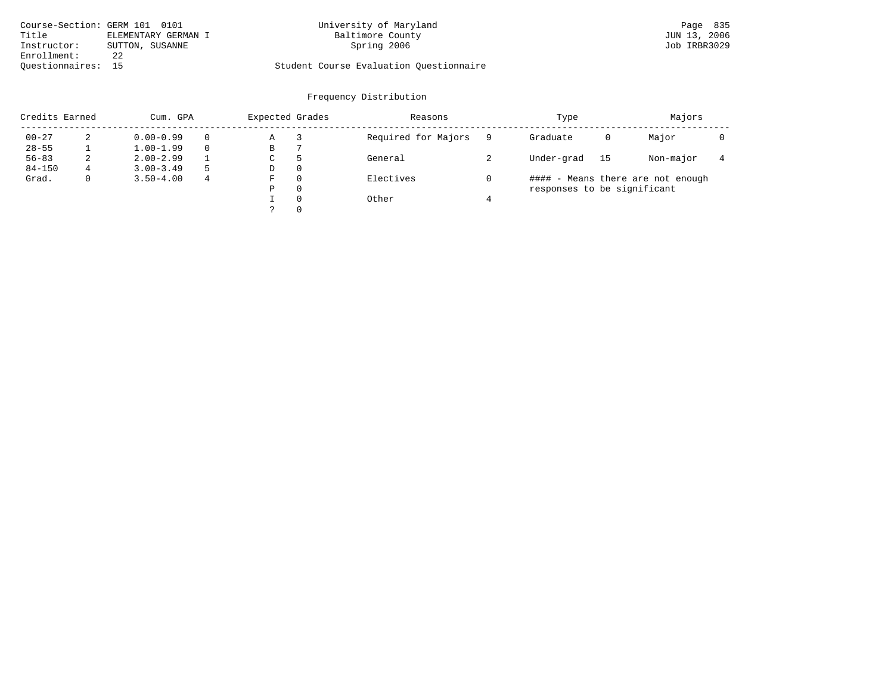| Course-Section: GERM 101 0101 |                     | University of Maryland                  | Page 835     |
|-------------------------------|---------------------|-----------------------------------------|--------------|
| Title                         | ELEMENTARY GERMAN I | Baltimore County                        | JUN 13, 2006 |
| Instructor:                   | SUTTON, SUSANNE     | Spring 2006                             | Job IRBR3029 |
| Enrollment:                   |                     |                                         |              |
| Ouestionnaires: 15            |                     | Student Course Evaluation Questionnaire |              |

| Credits Earned |              | Cum. GPA      | Expected Grades |    | Reasons  | Type                |                             | Majors |                                   |  |
|----------------|--------------|---------------|-----------------|----|----------|---------------------|-----------------------------|--------|-----------------------------------|--|
| $00 - 27$      | 2            | $0.00 - 0.99$ |                 | Α  |          | Required for Majors | Graduate                    | 0      | Major                             |  |
| $28 - 55$      |              | $1.00 - 1.99$ |                 | В  |          |                     |                             |        |                                   |  |
| $56 - 83$      | 2            | $2.00 - 2.99$ |                 | C. | 5        | General             | Under-grad                  | 15     | Non-major                         |  |
| $84 - 150$     | 4            | $3.00 - 3.49$ |                 | D  | 0        |                     |                             |        |                                   |  |
| Grad.          | $\mathbf{0}$ | $3.50 - 4.00$ | 4               | F  | $\Omega$ | Electives           |                             |        | #### - Means there are not enough |  |
|                |              |               |                 | P  | $\Omega$ |                     | responses to be significant |        |                                   |  |
|                |              |               |                 |    | $\Omega$ | Other               |                             |        |                                   |  |
|                |              |               |                 |    | $\Omega$ |                     |                             |        |                                   |  |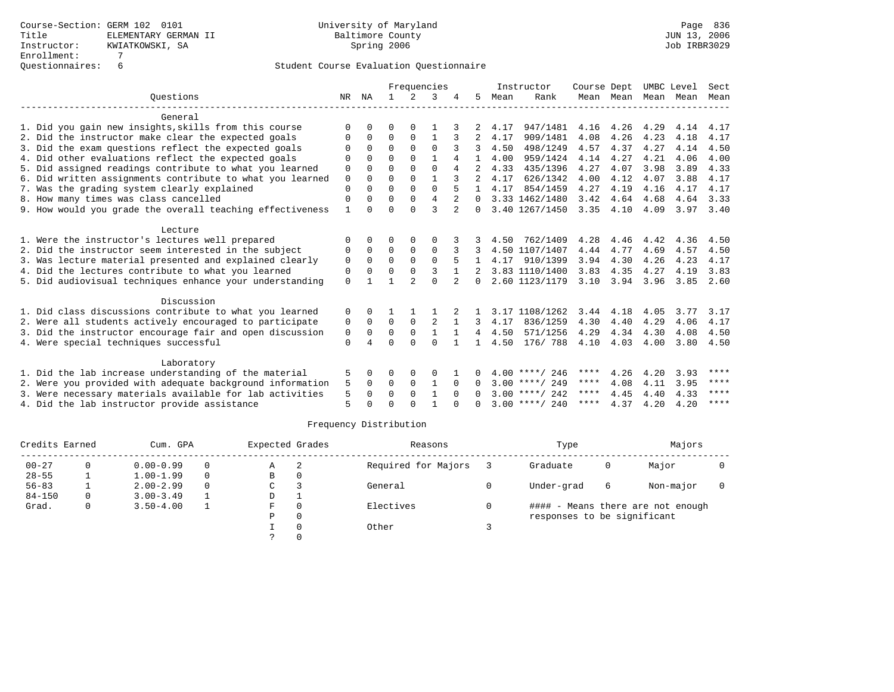|                                                           | Frequencies  |                      |          | Instructor     |              |                | Course Dept  |      | UMBC Level       |           | Sect              |      |      |                   |
|-----------------------------------------------------------|--------------|----------------------|----------|----------------|--------------|----------------|--------------|------|------------------|-----------|-------------------|------|------|-------------------|
| Ouestions                                                 | NR           | ΝA                   |          | $\mathcal{L}$  | κ            |                | 5.           | Mean | Rank             |           | Mean Mean         | Mean | Mean | Mean              |
| General                                                   |              |                      |          |                |              |                |              |      |                  |           |                   |      |      |                   |
| 1. Did you gain new insights, skills from this course     | O            | 0                    | O        |                |              |                |              | 4.17 | 947/1481         | 4.16 4.26 |                   | 4.29 | 4.14 | 4.17              |
| 2. Did the instructor make clear the expected goals       | 0            | 0                    | $\Omega$ | $\Omega$       | 1            |                |              | 4.17 | 909/1481         | 4.08      | 4.26              | 4.23 | 4.18 | 4.17              |
| 3. Did the exam questions reflect the expected goals      | O            | $\Omega$             | $\Omega$ | $\Omega$       | $\Omega$     |                | 3            | 4.50 | 498/1249         | 4.57      | 4.37              | 4.27 | 4.14 | 4.50              |
| 4. Did other evaluations reflect the expected goals       | $\Omega$     | $\Omega$             | $\Omega$ | $\Omega$       |              | 4              |              | 4.00 | 959/1424         | 4.14      | 4.27              | 4.21 | 4.06 | 4.00              |
| 5. Did assigned readings contribute to what you learned   | $\mathbf 0$  | $\Omega$             | $\Omega$ | $\Omega$       | $\Omega$     | 4              |              | 4.33 | 435/1396         | 4.27      | 4.07              | 3.98 | 3.89 | 4.33              |
| 6. Did written assignments contribute to what you learned | $\mathbf 0$  | $\Omega$             | $\Omega$ | $\Omega$       |              |                |              | 4.17 | 626/1342         | 4.00      | 4.12              | 4.07 | 3.88 | 4.17              |
| 7. Was the grading system clearly explained               | $\Omega$     | $\Omega$             | $\Omega$ | $\Omega$       | $\Omega$     |                |              | 4.17 | 854/1459         | 4.27      | 4.19              | 4.16 | 4.17 | 4.17              |
| 8. How many times was class cancelled                     | 0            | $\Omega$             | $\Omega$ | $\Omega$       | 4            | $\mathfrak{D}$ | $\Omega$     |      | 3.33 1462/1480   | 3.42      | 4.64              | 4.68 | 4.64 | 3.33              |
| 9. How would you grade the overall teaching effectiveness | $\mathbf{1}$ | $\Omega$             | O        | ∩              | ς            | $\overline{a}$ | $\Omega$     |      | 3.40 1267/1450   | 3.35      | 4.10              | 4.09 |      | $3.97 \quad 3.40$ |
| Lecture                                                   |              |                      |          |                |              |                |              |      |                  |           |                   |      |      |                   |
| 1. Were the instructor's lectures well prepared           | 0            | 0                    | 0        | 0              | 0            |                |              | 4.50 | 762/1409         | 4.28      | 4.46              | 4.42 | 4.36 | 4.50              |
| 2. Did the instructor seem interested in the subject      | 0            | $\Omega$             | $\Omega$ | $\Omega$       | $\Omega$     |                |              |      | 4.50 1107/1407   | 4.44      | 4.77              | 4.69 | 4.57 | 4.50              |
| 3. Was lecture material presented and explained clearly   | 0            | $\Omega$             | $\Omega$ | $\Omega$       | $\Omega$     |                |              | 4.17 | 910/1399         | 3.94      | 4.30              | 4.26 | 4.23 | 4.17              |
| 4. Did the lectures contribute to what you learned        | 0            | $\Omega$             | $\Omega$ | $\Omega$       | 3            |                |              |      | 3.83 1110/1400   | 3.83      | 4.35              | 4.27 | 4.19 | 3.83              |
| 5. Did audiovisual techniques enhance your understanding  | $\mathbf 0$  |                      |          | $\mathfrak{D}$ | $\Omega$     | $\overline{a}$ | $\Omega$     |      | 2.60 1123/1179   |           | $3.10 \quad 3.94$ | 3.96 | 3.85 | 2.60              |
| Discussion                                                |              |                      |          |                |              |                |              |      |                  |           |                   |      |      |                   |
| 1. Did class discussions contribute to what you learned   | 0            | $\Omega$             |          |                |              |                |              |      | 3.17 1108/1262   | 3.44      | 4.18              | 4.05 | 3.77 | 3.17              |
| 2. Were all students actively encouraged to participate   | 0            | $\Omega$             | $\Omega$ | $\Omega$       | 2            | $\mathbf{1}$   | 3            | 4.17 | 836/1259         | 4.30      | 4.40              | 4.29 | 4.06 | 4.17              |
| 3. Did the instructor encourage fair and open discussion  | 0            | $\Omega$             | 0        | $\mathbf 0$    | $\mathbf{1}$ |                | 4            | 4.50 | 571/1256         | 4.29      | 4.34              | 4.30 | 4.08 | 4.50              |
| 4. Were special techniques successful                     | $\Omega$     |                      | $\Omega$ | $\cap$         | $\cap$       |                | $\mathbf{1}$ | 4.50 | 176/ 788         | 4.10      | 4.03              | 4.00 | 3.80 | 4.50              |
| Laboratory                                                |              |                      |          |                |              |                |              |      |                  |           |                   |      |      |                   |
| 1. Did the lab increase understanding of the material     | 5            | 0                    | 0        | $\Omega$       | O            |                |              |      | $4.00$ ****/ 246 | ****      | 4.26              | 4.20 | 3.93 | ****              |
| 2. Were you provided with adequate background information |              |                      | $\Omega$ | $\Omega$       | $\mathbf{1}$ | $\Omega$       | $\Omega$     |      | $3.00$ ****/ 249 | ****      | 4.08              | 4.11 | 3.95 | ****              |
| 3. Were necessary materials available for lab activities  | 5<br>5       | $\Omega$<br>$\Omega$ | $\Omega$ | $\Omega$       | $\mathbf{1}$ | $\Omega$       | $\cap$       |      | $3.00$ ****/ 242 | ****      | 4.45              | 4.40 | 4.33 | ****              |
| 4. Did the lab instructor provide assistance              | 5            | ∩                    | ∩        | ∩              |              |                |              |      | $3.00$ ****/ 240 | ****      | 4.37              | 4.20 | 4.20 | ****              |

| Credits Earned |          | Cum. GPA      |          |    | Expected Grades | Reasons             | Type                        |   | Majors                            |  |
|----------------|----------|---------------|----------|----|-----------------|---------------------|-----------------------------|---|-----------------------------------|--|
| $00 - 27$      | 0        | $0.00 - 0.99$ | $\Omega$ | Α  | 2               | Required for Majors | Graduate                    | 0 | Major                             |  |
| $28 - 55$      |          | $1.00 - 1.99$ | $\Omega$ | в  | 0               |                     |                             |   |                                   |  |
| $56 - 83$      |          | $2.00 - 2.99$ | $\Omega$ | C  |                 | General             | Under-grad                  | 6 | Non-major                         |  |
| $84 - 150$     | $\Omega$ | $3.00 - 3.49$ |          | D  |                 |                     |                             |   |                                   |  |
| Grad.          | $\Omega$ | $3.50 - 4.00$ |          | F. | $\Omega$        | Electives           |                             |   | #### - Means there are not enough |  |
|                |          |               |          | Ρ  | 0               |                     | responses to be significant |   |                                   |  |
|                |          |               |          |    |                 | Other               |                             |   |                                   |  |
|                |          |               |          |    |                 |                     |                             |   |                                   |  |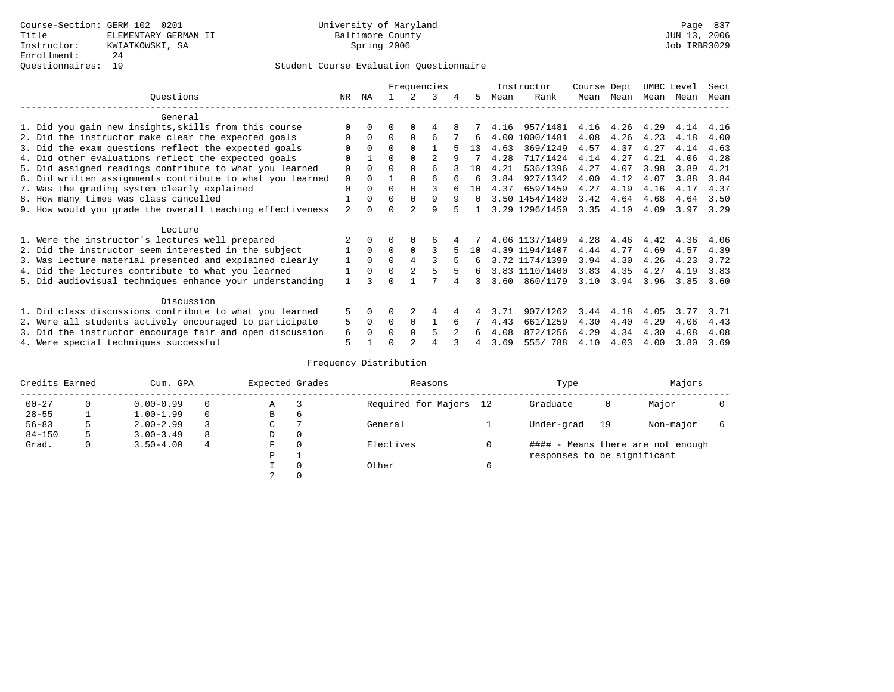|                                                           |                |              | Frequencies |                |   | Instructor | Course Dept |      | UMBC Level     |      | Sect      |      |      |      |
|-----------------------------------------------------------|----------------|--------------|-------------|----------------|---|------------|-------------|------|----------------|------|-----------|------|------|------|
| Ouestions                                                 | NR             | ΝA           |             | 2              | 3 | 4          | 5           | Mean | Rank           |      | Mean Mean | Mean | Mean | Mean |
| General                                                   |                |              |             |                |   |            |             |      |                |      |           |      |      |      |
| 1. Did you gain new insights, skills from this course     |                | $\Omega$     | 0           | $\Omega$       | 4 |            |             | 4.16 | 957/1481       | 4.16 | 4.26      | 4.29 | 4.14 | 4.16 |
| 2. Did the instructor make clear the expected goals       | 0              | $\Omega$     | $\Omega$    | $\Omega$       | 6 |            | 6           | 4.00 | 1000/1481      | 4.08 | 4.26      | 4.23 | 4.18 | 4.00 |
| 3. Did the exam questions reflect the expected goals      |                | $\Omega$     | $\Omega$    | $\Omega$       |   |            | 13          | 4.63 | 369/1249       | 4.57 | 4.37      | 4.27 | 4.14 | 4.63 |
| 4. Did other evaluations reflect the expected goals       |                |              | 0           | $\Omega$       | 2 | 9          |             | 4.28 | 717/1424       | 4.14 | 4.27      | 4.21 | 4.06 | 4.28 |
| 5. Did assigned readings contribute to what you learned   | 0              | $\Omega$     | U           | $\Omega$       | 6 |            | 10          | 4.21 | 536/1396       | 4.27 | 4.07      | 3.98 | 3.89 | 4.21 |
| 6. Did written assignments contribute to what you learned | $\mathbf 0$    | $\Omega$     |             | $\Omega$       | 6 |            | 6           | 3.84 | 927/1342       | 4.00 | 4.12      | 4.07 | 3.88 | 3.84 |
| 7. Was the grading system clearly explained               | 0              | $\Omega$     | U           | $\Omega$       | 3 |            | 10          | 4.37 | 659/1459       | 4.27 | 4.19      | 4.16 | 4.17 | 4.37 |
| 8. How many times was class cancelled                     |                | $\Omega$     | $\Omega$    | $\Omega$       | 9 | 9          | $\Omega$    |      | 3.50 1454/1480 | 3.42 | 4.64      | 4.68 | 4.64 | 3.50 |
| 9. How would you grade the overall teaching effectiveness | $\overline{a}$ | <sup>n</sup> |             | $\mathfrak{D}$ | 9 |            |             |      | 3.29 1296/1450 | 3.35 | 4.10      | 4.09 | 3.97 | 3.29 |
| Lecture                                                   |                |              |             |                |   |            |             |      |                |      |           |      |      |      |
| 1. Were the instructor's lectures well prepared           |                | $\Omega$     |             |                | 6 |            |             |      | 4.06 1137/1409 | 4.28 | 4.46      | 4.42 | 4.36 | 4.06 |
| 2. Did the instructor seem interested in the subject      |                | $\Omega$     | $\Omega$    | $\Omega$       |   |            | 10          |      | 4.39 1194/1407 | 4.44 | 4.77      | 4.69 | 4.57 | 4.39 |
| 3. Was lecture material presented and explained clearly   | 1              | $\Omega$     | 0           | 4              |   | 5          | 6           |      | 3.72 1174/1399 | 3.94 | 4.30      | 4.26 | 4.23 | 3.72 |
| 4. Did the lectures contribute to what you learned        |                | $\Omega$     | $\Omega$    | $\overline{2}$ |   |            | 6           |      | 3.83 1110/1400 | 3.83 | 4.35      | 4.27 | 4.19 | 3.83 |
| 5. Did audiovisual techniques enhance your understanding  |                |              |             |                |   |            | 3           | 3.60 | 860/1179       | 3.10 | 3.94      | 3.96 | 3.85 | 3.60 |
| Discussion                                                |                |              |             |                |   |            |             |      |                |      |           |      |      |      |
| 1. Did class discussions contribute to what you learned   | 5.             | $\Omega$     | U           |                | 4 |            |             | 3.71 | 907/1262       | 3.44 | 4.18      | 4.05 | 3.77 | 3.71 |
| 2. Were all students actively encouraged to participate   |                |              |             | 0              |   | б          |             | 4.43 | 661/1259       | 4.30 | 4.40      | 4.29 | 4.06 | 4.43 |
| 3. Did the instructor encourage fair and open discussion  | 6              | 0            |             | $\Omega$       | 5 |            | б.          | 4.08 | 872/1256       | 4.29 | 4.34      | 4.30 | 4.08 | 4.08 |
| 4. Were special techniques successful                     | 5              |              |             |                |   |            |             | 3.69 | 555/788        | 4.10 | 4.03      | 4.00 | 3.80 | 3.69 |

| Credits Earned |    | Cum. GPA      | Expected Grades |               | Reasons  |                        | Type |                             | Majors |                                   |   |
|----------------|----|---------------|-----------------|---------------|----------|------------------------|------|-----------------------------|--------|-----------------------------------|---|
| $00 - 27$      | 0  | $0.00 - 0.99$ |                 | Α             |          | Required for Majors 12 |      | Graduate                    | 0      | Major                             |   |
| $28 - 55$      |    | $1.00 - 1.99$ |                 | В             | 6        |                        |      |                             |        |                                   |   |
| $56 - 83$      | 5. | $2.00 - 2.99$ |                 | $\sim$<br>◡   |          | General                |      | Under-grad                  | 19     | Non-major                         | 6 |
| $84 - 150$     | 5  | $3.00 - 3.49$ | 8               | D             | 0        |                        |      |                             |        |                                   |   |
| Grad.          | 0  | $3.50 - 4.00$ | 4               | F             | $\Omega$ | Electives              |      |                             |        | #### - Means there are not enough |   |
|                |    |               |                 | P             |          |                        |      | responses to be significant |        |                                   |   |
|                |    |               |                 |               | 0        | Other                  | 6    |                             |        |                                   |   |
|                |    |               |                 | $\mathcal{L}$ |          |                        |      |                             |        |                                   |   |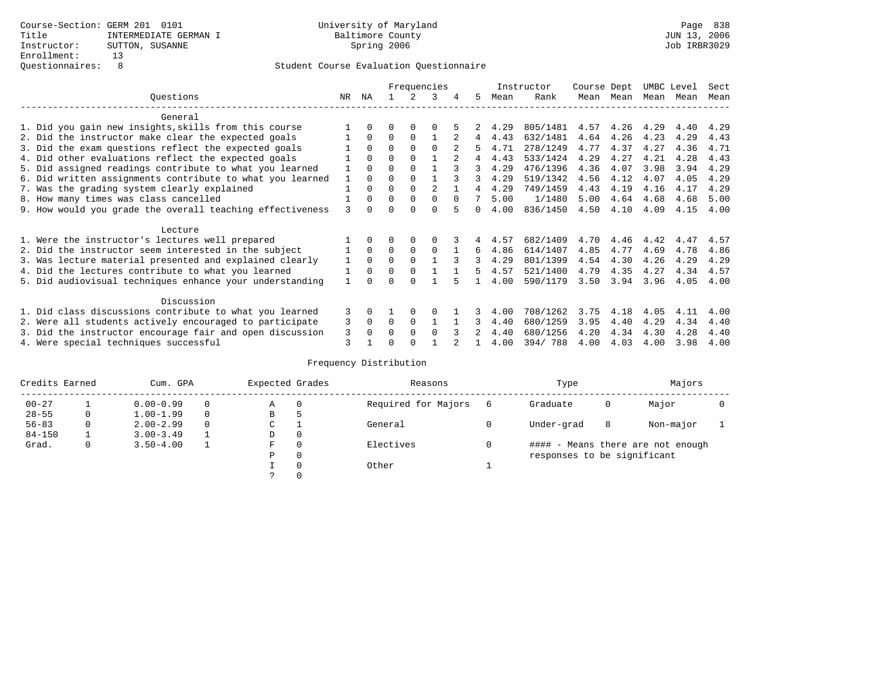|                                                           | Frequencies |              |          |          |          |          |              | Instructor | Course Dept |      |      |      | Sect                                                                                                                                                       |      |
|-----------------------------------------------------------|-------------|--------------|----------|----------|----------|----------|--------------|------------|-------------|------|------|------|------------------------------------------------------------------------------------------------------------------------------------------------------------|------|
| Ouestions                                                 | NR.         | ΝA           |          |          | 3        |          | 5.           | Mean       | Rank        | Mean | Mean | Mean | UMBC Level<br>Mean<br>4.40<br>4.29<br>4.36<br>4.28<br>3.94<br>4.05<br>4.17<br>4.68<br>4.15<br>4.47<br>4.78<br>4.29<br>4.34<br>4.05<br>4.11<br>4.34<br>4.28 | Mean |
| General                                                   |             |              |          |          |          |          |              |            |             |      |      |      |                                                                                                                                                            |      |
| 1. Did you gain new insights, skills from this course     |             | $\Omega$     | O        | $\Omega$ | O        |          |              | 4.29       | 805/1481    | 4.57 | 4.26 | 4.29 |                                                                                                                                                            | 4.29 |
| 2. Did the instructor make clear the expected goals       |             | $\Omega$     | $\Omega$ | $\Omega$ |          |          | 4            | 4.43       | 632/1481    | 4.64 | 4.26 | 4.23 |                                                                                                                                                            | 4.43 |
| 3. Did the exam questions reflect the expected goals      |             | $\Omega$     | $\Omega$ | $\Omega$ | $\Omega$ |          | 5.           | 4.71       | 278/1249    | 4.77 | 4.37 | 4.27 |                                                                                                                                                            | 4.71 |
| 4. Did other evaluations reflect the expected goals       |             | $\Omega$     | $\Omega$ | $\Omega$ |          |          | 4            | 4.43       | 533/1424    | 4.29 | 4.27 | 4.21 |                                                                                                                                                            | 4.43 |
| 5. Did assigned readings contribute to what you learned   |             | $\Omega$     | $\Omega$ | $\Omega$ |          |          | 3            | 4.29       | 476/1396    | 4.36 | 4.07 | 3.98 |                                                                                                                                                            | 4.29 |
| 6. Did written assignments contribute to what you learned | 1           | $\Omega$     | $\Omega$ | $\Omega$ |          |          | 3            | 4.29       | 519/1342    | 4.56 | 4.12 | 4.07 |                                                                                                                                                            | 4.29 |
| 7. Was the grading system clearly explained               |             | $\Omega$     | $\Omega$ | $\Omega$ |          |          |              | 4.29       | 749/1459    | 4.43 | 4.19 | 4.16 |                                                                                                                                                            | 4.29 |
| 8. How many times was class cancelled                     |             | $\Omega$     | $\Omega$ | $\Omega$ | $\Omega$ | $\Omega$ |              | 5.00       | 1/1480      | 5.00 | 4.64 | 4.68 |                                                                                                                                                            | 5.00 |
| 9. How would you grade the overall teaching effectiveness | 3           | <sup>n</sup> | U        | ∩        | U        |          | <sup>n</sup> | 4.00       | 836/1450    | 4.50 | 4.10 | 4.09 |                                                                                                                                                            | 4.00 |
| Lecture                                                   |             |              |          |          |          |          |              |            |             |      |      |      |                                                                                                                                                            |      |
| 1. Were the instructor's lectures well prepared           |             |              |          |          |          |          |              | 4.57       | 682/1409    | 4.70 | 4.46 | 4.42 |                                                                                                                                                            | 4.57 |
| 2. Did the instructor seem interested in the subject      |             | $\Omega$     | $\Omega$ | $\Omega$ | $\Omega$ |          | 6            | 4.86       | 614/1407    | 4.85 | 4.77 | 4.69 |                                                                                                                                                            | 4.86 |
| 3. Was lecture material presented and explained clearly   |             | $\Omega$     | $\Omega$ | $\Omega$ |          |          | 3            | 4.29       | 801/1399    | 4.54 | 4.30 | 4.26 |                                                                                                                                                            | 4.29 |
| 4. Did the lectures contribute to what you learned        |             | $\Omega$     | $\Omega$ | $\Omega$ |          |          | 5            | 4.57       | 521/1400    | 4.79 | 4.35 | 4.27 |                                                                                                                                                            | 4.57 |
| 5. Did audiovisual techniques enhance your understanding  |             |              |          |          |          |          |              | 4.00       | 590/1179    | 3.50 | 3.94 | 3.96 |                                                                                                                                                            | 4.00 |
| Discussion                                                |             |              |          |          |          |          |              |            |             |      |      |      |                                                                                                                                                            |      |
| 1. Did class discussions contribute to what you learned   | 3           | $\Omega$     |          | $\Omega$ | O        |          |              | 4.00       | 708/1262    | 3.75 | 4.18 | 4.05 |                                                                                                                                                            | 4.00 |
| 2. Were all students actively encouraged to participate   |             |              | $\Omega$ | $\Omega$ |          |          | 3            | 4.40       | 680/1259    | 3.95 | 4.40 | 4.29 |                                                                                                                                                            | 4.40 |
| 3. Did the instructor encourage fair and open discussion  |             |              | 0        | $\Omega$ | $\Omega$ |          |              | 4.40       | 680/1256    | 4.20 | 4.34 | 4.30 |                                                                                                                                                            | 4.40 |
| 4. Were special techniques successful                     | 3<br>3      | $\Omega$     |          |          |          |          |              | 4.00       | 394/788     | 4.00 | 4.03 | 4.00 | 3.98                                                                                                                                                       | 4.00 |

| Credits Earned |          | Cum. GPA      |  |   | Expected Grades | Reasons             | Type                        |   | Majors                            |  |
|----------------|----------|---------------|--|---|-----------------|---------------------|-----------------------------|---|-----------------------------------|--|
| $00 - 27$      |          | $0.00 - 0.99$ |  | Α | $\Omega$        | Required for Majors | Graduate                    | 0 | Major                             |  |
| $28 - 55$      | 0        | $1.00 - 1.99$ |  | B | 5               |                     |                             |   |                                   |  |
| $56 - 83$      | $\Omega$ | $2.00 - 2.99$ |  | ◡ |                 | General             | Under-grad                  | 8 | Non-major                         |  |
| $84 - 150$     |          | $3.00 - 3.49$ |  | D | 0               |                     |                             |   |                                   |  |
| Grad.          | 0        | $3.50 - 4.00$ |  | F | 0               | Electives           |                             |   | #### - Means there are not enough |  |
|                |          |               |  | Ρ | 0               |                     | responses to be significant |   |                                   |  |
|                |          |               |  |   | $\Omega$        | Other               |                             |   |                                   |  |
|                |          |               |  |   |                 |                     |                             |   |                                   |  |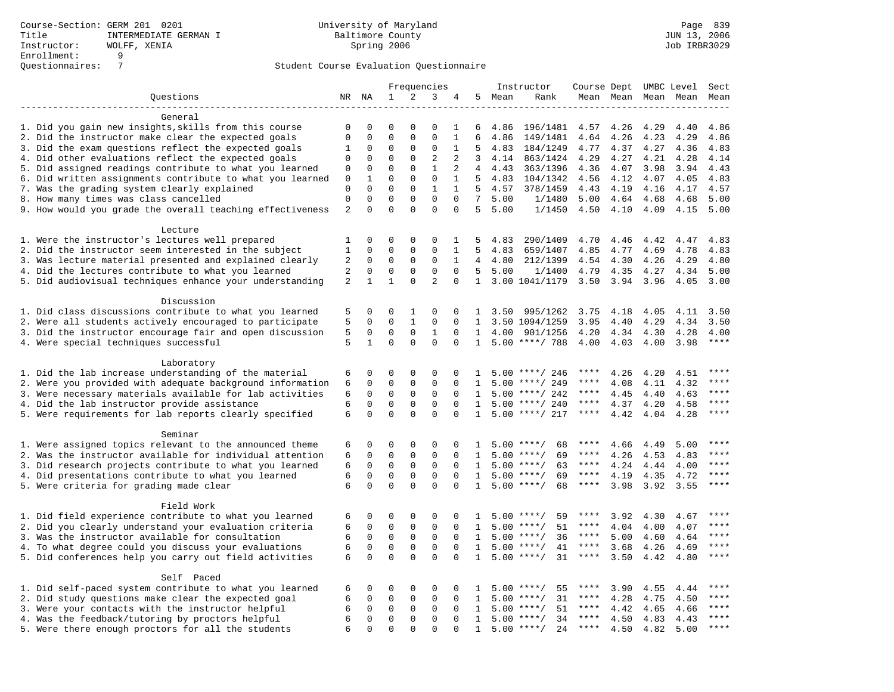|                                                                                                                      | Frequencies      |              |                         | Instructor              | Course Dept UMBC Level         |                      |                              | Sect         |                                      |              |              |                     |              |                     |
|----------------------------------------------------------------------------------------------------------------------|------------------|--------------|-------------------------|-------------------------|--------------------------------|----------------------|------------------------------|--------------|--------------------------------------|--------------|--------------|---------------------|--------------|---------------------|
| Questions                                                                                                            |                  | NR NA        | 1                       | 2                       | 3                              | 4                    |                              | 5 Mean       | Rank                                 |              |              | Mean Mean Mean Mean |              | Mean                |
|                                                                                                                      |                  |              |                         |                         |                                |                      |                              |              |                                      |              |              |                     |              |                     |
| General                                                                                                              |                  |              |                         |                         |                                |                      |                              |              |                                      |              |              |                     |              |                     |
| 1. Did you gain new insights, skills from this course                                                                | 0                | $\Omega$     | $\Omega$                | $\Omega$                | $\Omega$                       | $\mathbf{1}$         | 6                            | 4.86         | 196/1481                             | 4.57         | 4.26         | 4.29                | 4.40         | 4.86                |
| 2. Did the instructor make clear the expected goals                                                                  | $\mathbf 0$      | $\Omega$     | $\Omega$                | $\Omega$                | $\Omega$                       | $\mathbf{1}$         | 6                            | 4.86         | 149/1481                             | 4.64         | 4.26         | 4.23                | 4.29         | 4.86                |
| 3. Did the exam questions reflect the expected goals                                                                 | 1                | $\mathbf 0$  | 0                       | 0                       | 0                              | $\mathbf{1}$         | 5                            | 4.83         | 184/1249                             | 4.77         | 4.37         | 4.27                | 4.36         | 4.83                |
| 4. Did other evaluations reflect the expected goals                                                                  | 0                | 0            | $\Omega$                | $\mathbf{0}$            | $\overline{2}$<br>$\mathbf{1}$ | 2                    | 3                            | 4.14         | 863/1424                             | 4.29         | 4.27         | 4.21                | 4.28         | 4.14                |
| 5. Did assigned readings contribute to what you learned<br>6. Did written assignments contribute to what you learned | 0<br>$\mathbf 0$ | 0<br>1       | $\mathbf 0$<br>$\Omega$ | $\mathbf 0$<br>$\Omega$ | $\mathbf 0$                    | 2<br>$\mathbf{1}$    | 4<br>5                       | 4.43<br>4.83 | 363/1396<br>104/1342                 | 4.36<br>4.56 | 4.07         | 3.98<br>4.07        | 3.94<br>4.05 | 4.43<br>4.83        |
| 7. Was the grading system clearly explained                                                                          | 0                | $\Omega$     | $\Omega$                | $\Omega$                | $\mathbf{1}$                   | $\mathbf{1}$         | 5                            | 4.57         | 378/1459                             | 4.43         | 4.12<br>4.19 | 4.16                | 4.17         | 4.57                |
| 8. How many times was class cancelled                                                                                | $\mathbf 0$      | $\mathbf 0$  | $\mathbf 0$             | $\mathbf 0$             | $\mathbf 0$                    | $\mathbf 0$          | $7\overline{ }$              | 5.00         | 1/1480                               | 5.00         | 4.64         | 4.68                | 4.68         | 5.00                |
| 9. How would you grade the overall teaching effectiveness                                                            | $\overline{2}$   | $\Omega$     | $\Omega$                | $\Omega$                | $\Omega$                       | $\Omega$             | 5                            | 5.00         | 1/1450                               | 4.50         | 4.10         | 4.09                | 4.15         | 5.00                |
|                                                                                                                      |                  |              |                         |                         |                                |                      |                              |              |                                      |              |              |                     |              |                     |
| Lecture                                                                                                              |                  |              |                         |                         |                                |                      |                              |              |                                      |              |              |                     |              |                     |
| 1. Were the instructor's lectures well prepared                                                                      | 1                | $\Omega$     | $\Omega$                | $\Omega$                | $\Omega$                       | $\mathbf{1}$         | 5                            | 4.83         | 290/1409                             | 4.70         | 4.46         | 4.42                | 4.47         | 4.83                |
| 2. Did the instructor seem interested in the subject                                                                 | $\mathbf{1}$     | $\mathbf 0$  | $\mathsf 0$             | $\mathbf{0}$            | $\mathbf 0$                    | 1                    | 5                            | 4.83         | 659/1407                             | 4.85         | 4.77         | 4.69                | 4.78         | 4.83                |
| 3. Was lecture material presented and explained clearly                                                              | 2                | $\mathbf 0$  | $\mathsf 0$             | 0                       | 0                              | 1                    | 4                            | 4.80         | 212/1399                             | 4.54         | 4.30         | 4.26                | 4.29         | 4.80                |
| 4. Did the lectures contribute to what you learned                                                                   | 2                | $\mathbf 0$  | $\mathbf 0$             | 0                       | $\mathbf 0$                    | $\Omega$             | 5                            | 5.00         | 1/1400                               | 4.79         | 4.35         | 4.27                | 4.34         | 5.00                |
| 5. Did audiovisual techniques enhance your understanding                                                             | 2                | $\mathbf{1}$ | $\mathbf{1}$            | $\Omega$                | $\overline{2}$                 | $\Omega$             | $\mathbf{1}$                 |              | 3.00 1041/1179                       | 3.50         | 3.94         | 3.96                | 4.05         | 3.00                |
|                                                                                                                      |                  |              |                         |                         |                                |                      |                              |              |                                      |              |              |                     |              |                     |
| Discussion                                                                                                           |                  |              |                         |                         |                                |                      |                              |              |                                      |              |              |                     |              |                     |
| 1. Did class discussions contribute to what you learned                                                              | 5                | 0            | 0                       | 1                       | $\Omega$                       | 0                    | 1                            | 3.50         | 995/1262                             | 3.75         | 4.18         | 4.05                | 4.11         | 3.50                |
| 2. Were all students actively encouraged to participate                                                              | 5                | $\mathbf 0$  | $\mathbf 0$             | $\mathbf{1}$            | $\mathbf 0$                    | $\Omega$             | $\mathbf{1}$                 |              | 3.50 1094/1259                       | 3.95         | 4.40         | 4.29                | 4.34         | 3.50                |
| 3. Did the instructor encourage fair and open discussion                                                             | 5                | 0            | $\mathbf 0$             | $\mathbf 0$             | $\mathbf{1}$                   | $\Omega$             | 1                            | 4.00         | 901/1256                             | 4.20         | 4.34         | 4.30                | 4.28         | 4.00                |
| 4. Were special techniques successful                                                                                | 5                | $\mathbf{1}$ | $\Omega$                | $\Omega$                | $\Omega$                       | $\Omega$             | $\mathbf{1}$                 |              | 5.00 ****/ 788                       | 4.00         | 4.03         | 4.00                | 3.98         | ****                |
|                                                                                                                      |                  |              |                         |                         |                                |                      |                              |              |                                      |              |              |                     |              |                     |
| Laboratory                                                                                                           |                  |              |                         |                         |                                |                      |                              |              |                                      | ****         |              |                     |              | ****                |
| 1. Did the lab increase understanding of the material<br>2. Were you provided with adequate background information   | 6<br>6           | 0<br>0       | 0<br>$\mathbf 0$        | 0<br>0                  | 0<br>$\mathbf 0$               | $\Omega$<br>$\Omega$ | $\mathbf{1}$<br>$\mathbf{1}$ |              | $5.00$ ****/ 246<br>$5.00$ ****/ 249 | ****         | 4.26<br>4.08 | 4.20<br>4.11        | 4.51<br>4.32 | ****                |
| 3. Were necessary materials available for lab activities                                                             | 6                | $\mathbf 0$  | $\mathbf 0$             | 0                       | $\mathbf 0$                    | $\Omega$             | 1                            |              | $5.00$ ****/ 242                     | ****         | 4.45         | 4.40                | 4.63         | $***$               |
| 4. Did the lab instructor provide assistance                                                                         | 6                | $\mathbf 0$  | $\mathsf 0$             | $\mathsf 0$             | $\mathbf 0$                    | $\mathbf 0$          | $\mathbf{1}$                 |              | $5.00$ ****/ 240                     | ****         | 4.37         | 4.20                | 4.58         | $***$               |
| 5. Were requirements for lab reports clearly specified                                                               | 6                | $\Omega$     | $\mathbf 0$             | $\Omega$                | $\Omega$                       | $\Omega$             | $\mathbf{1}$                 |              | $5.00$ ****/ 217                     | ****         | 4.42         | 4.04                | 4.28         | ****                |
|                                                                                                                      |                  |              |                         |                         |                                |                      |                              |              |                                      |              |              |                     |              |                     |
| Seminar                                                                                                              |                  |              |                         |                         |                                |                      |                              |              |                                      |              |              |                     |              |                     |
| 1. Were assigned topics relevant to the announced theme                                                              | 6                | 0            | 0                       | $\mathbf 0$             | $\mathbf{0}$                   | $\Omega$             | -1.                          |              | $5.00$ ****/<br>68                   | ****         | 4.66         | 4.49                | 5.00         |                     |
| 2. Was the instructor available for individual attention                                                             | 6                | $\mathsf 0$  | $\mathbf 0$             | $\mathsf 0$             | $\mathbf 0$                    | 0                    | 1                            |              | 69<br>$5.00$ ****/                   | $***$ * *    | 4.26         | 4.53                | 4.83         | ****                |
| 3. Did research projects contribute to what you learned                                                              | 6                | $\mathbf 0$  | $\mathbf 0$             | $\mathbf 0$             | $\mathbf 0$                    | $\Omega$             | 1                            |              | $5.00$ ****/<br>63                   | $***$ * * *  | 4.24         | 4.44                | 4.00         | ****                |
| 4. Did presentations contribute to what you learned                                                                  | 6                | $\mathbf 0$  | $\mathbf 0$             | 0                       | $\mathbf 0$                    | $\Omega$             | 1                            | 5.00         | $***/$<br>69                         | ****         | 4.19         | 4.35                | 4.72         | $***$               |
| 5. Were criteria for grading made clear                                                                              | 6                | $\Omega$     | $\Omega$                | $\Omega$                | $\Omega$                       | $\Omega$             | $\mathbf{1}$                 |              | $5.00$ ****/<br>68                   | ****         | 3.98         | 3.92                | 3.55         | ****                |
|                                                                                                                      |                  |              |                         |                         |                                |                      |                              |              |                                      |              |              |                     |              |                     |
| Field Work                                                                                                           |                  |              |                         |                         |                                |                      |                              |              |                                      |              |              |                     |              |                     |
| 1. Did field experience contribute to what you learned                                                               | 6                | 0            | $\Omega$                | $\mathbf{0}$            | $\Omega$                       | 0                    | 1                            |              | $5.00$ ****/<br>59                   | ****         | 3.92         | 4.30                | 4.67         | ****                |
| 2. Did you clearly understand your evaluation criteria                                                               | 6                | $\mathbf 0$  | $\mathbf 0$             | $\mathbf 0$             | $\mathbf 0$                    | $\mathbf 0$          | 1                            |              | 51<br>$5.00$ ****/                   | ****         | 4.04         | 4.00                | 4.07         | ****                |
| 3. Was the instructor available for consultation                                                                     | 6                | $\mathbf 0$  | $\mathbf 0$             | $\mathbf{0}$            | $\mathbf 0$                    | $\Omega$             | $\mathbf{1}$                 |              | $5.00$ ****/<br>36                   | ****         | 5.00         | 4.60                | 4.64         | ****<br>$***$ * * * |
| 4. To what degree could you discuss your evaluations                                                                 | 6                | $\mathbf 0$  | $\mathbf 0$             | $\mathbf{0}$            | $\mathbf 0$<br>$\Omega$        | $\Omega$             | $\mathbf{1}$                 |              | $5.00$ ****/<br>41                   | ****         | 3.68         | 4.26                | 4.69         | $***$               |
| 5. Did conferences help you carry out field activities                                                               | 6                | $\mathbf 0$  | $\mathbf 0$             | $\mathbf 0$             |                                | $\Omega$             | $\mathbf 1$                  |              | $5.00$ ****/<br>31                   | $***$ * * *  | 3.50         | 4.42                | 4.80         |                     |
| Self Paced                                                                                                           |                  |              |                         |                         |                                |                      |                              |              |                                      |              |              |                     |              |                     |
| 1. Did self-paced system contribute to what you learned                                                              | 6                | 0            | 0                       | 0                       | $\mathbf 0$                    | $\Omega$             | 1.                           |              | $5.00$ ****/<br>55                   | ****         | 3.90         | 4.55                | 4.44         |                     |
| 2. Did study questions make clear the expected goal                                                                  | 6                | $\Omega$     | $\mathbf 0$             | $\mathbf 0$             | $\mathbf 0$                    | $\Omega$             | $\mathbf{1}$                 | 5.00         | 31<br>$***/$                         | ****         | 4.28         | 4.75                | 4.50         | ****                |
| 3. Were your contacts with the instructor helpful                                                                    | 6                | $\mathbf 0$  | $\mathbf 0$             | $\mathbf 0$             | $\mathbf 0$                    | $\mathbf 0$          | $\mathbf{1}$                 | 5.00         | 51<br>$***$ /                        | $***$ * *    | 4.42         | 4.65                | 4.66         |                     |
| 4. Was the feedback/tutoring by proctors helpful                                                                     | 6                | $\mathbf 0$  | $\mathsf 0$             | $\mathbf{0}$            | $\mathbf 0$                    | $\Omega$             | $\mathbf{1}$                 |              | $5.00$ ****/<br>34                   | $***$ * * *  | 4.50         | 4.83                | 4.43         | ****                |
| 5. Were there enough proctors for all the students                                                                   | 6                | $\Omega$     | $\Omega$                | $\Omega$                | $\Omega$                       | $\Omega$             | $\mathbf{1}$                 |              | $5.00$ ****/<br>24                   | $***$ * * *  | 4.50         | 4.82                | 5.00         | ****                |
|                                                                                                                      |                  |              |                         |                         |                                |                      |                              |              |                                      |              |              |                     |              |                     |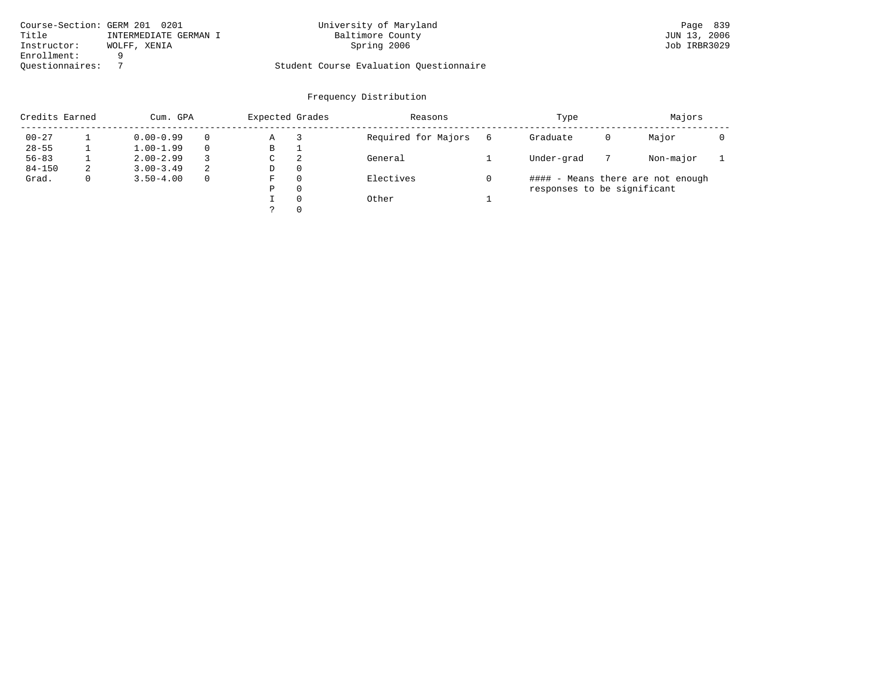|                 | Course-Section: GERM 201 0201 | University of Maryland                  | Page 839     |
|-----------------|-------------------------------|-----------------------------------------|--------------|
| Title           | INTERMEDIATE GERMAN I         | Baltimore County                        | JUN 13, 2006 |
| Instructor:     | WOLFF, XENIA                  | Spring 2006                             | Job IRBR3029 |
| Enrollment:     |                               |                                         |              |
| Ouestionnaires: |                               | Student Course Evaluation Ouestionnaire |              |

| Credits Earned |   | Cum. GPA      |          |   | Expected Grades | Reasons             |   | Type                        |   | Majors                            |  |
|----------------|---|---------------|----------|---|-----------------|---------------------|---|-----------------------------|---|-----------------------------------|--|
| $00 - 27$      |   | $0.00 - 0.99$ | $\Omega$ | Α |                 | Required for Majors | 6 | Graduate                    | 0 | Major                             |  |
| $28 - 55$      |   | $1.00 - 1.99$ | $\Omega$ | В |                 |                     |   |                             |   |                                   |  |
| $56 - 83$      |   | $2.00 - 2.99$ |          | C | 2               | General             |   | Under-grad                  |   | Non-major                         |  |
| $84 - 150$     | 2 | $3.00 - 3.49$ | 2        | D | $\Omega$        |                     |   |                             |   |                                   |  |
| Grad.          |   | $3.50 - 4.00$ | $\Omega$ | F | $\Omega$        | Electives           |   |                             |   | #### - Means there are not enough |  |
|                |   |               |          | Ρ | 0               |                     |   | responses to be significant |   |                                   |  |
|                |   |               |          |   | $\Omega$        | Other               |   |                             |   |                                   |  |
|                |   |               |          |   | $\Omega$        |                     |   |                             |   |                                   |  |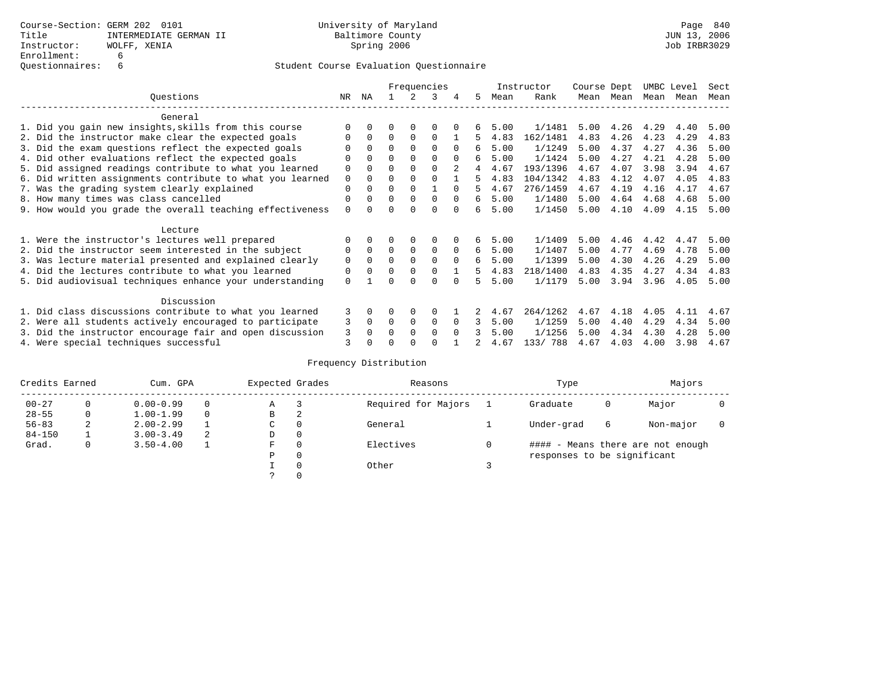|                                                           |             | Frequencies<br>ΝA<br>3<br>5. |          |             |             |          |    |      | Instructor | Course Dept |      | UMBC Level |      | Sect |
|-----------------------------------------------------------|-------------|------------------------------|----------|-------------|-------------|----------|----|------|------------|-------------|------|------------|------|------|
| Ouestions                                                 | NR.         |                              |          |             |             |          |    | Mean | Rank       | Mean        | Mean | Mean       | Mean | Mean |
| General                                                   |             |                              |          |             |             |          |    |      |            |             |      |            |      |      |
| 1. Did you gain new insights, skills from this course     |             | $\Omega$                     | O        | $\Omega$    | O           |          |    | 5.00 | 1/1481     | 5.00        | 4.26 | 4.29       | 4.40 | 5.00 |
| 2. Did the instructor make clear the expected goals       | O           | $\Omega$                     | $\Omega$ | $\Omega$    | $\Omega$    |          | 5. | 4.83 | 162/1481   | 4.83        | 4.26 | 4.23       | 4.29 | 4.83 |
| 3. Did the exam questions reflect the expected goals      |             | $\Omega$                     | 0        | $\Omega$    | $\Omega$    | $\Omega$ | б. | 5.00 | 1/1249     | 5.00        | 4.37 | 4.27       | 4.36 | 5.00 |
| 4. Did other evaluations reflect the expected goals       | O           | $\Omega$                     | $\Omega$ | $\Omega$    | $\Omega$    |          | б. | 5.00 | 1/1424     | 5.00        | 4.27 | 4.21       | 4.28 | 5.00 |
| 5. Did assigned readings contribute to what you learned   | $\mathbf 0$ |                              | $\Omega$ |             | $\Omega$    |          | 4  | 4.67 | 193/1396   | 4.67        | 4.07 | 3.98       | 3.94 | 4.67 |
| 6. Did written assignments contribute to what you learned | $\mathbf 0$ | $\Omega$                     | $\Omega$ | $\Omega$    | $\Omega$    |          | 5  | 4.83 | 104/1342   | 4.83        | 4.12 | 4.07       | 4.05 | 4.83 |
| 7. Was the grading system clearly explained               | $\Omega$    |                              | $\Omega$ | $\Omega$    |             |          | 5. | 4.67 | 276/1459   | 4.67        | 4.19 | 4.16       | 4.17 | 4.67 |
| 8. How many times was class cancelled                     | 0           | $\Omega$                     | $\Omega$ | $\Omega$    | $\Omega$    | $\Omega$ | б. | 5.00 | 1/1480     | 5.00        | 4.64 | 4.68       | 4.68 | 5.00 |
| 9. How would you grade the overall teaching effectiveness | $\Omega$    | <sup>n</sup>                 | U        | ∩           | $\Omega$    | $\cap$   | б. | 5.00 | 1/1450     | 5.00        | 4.10 | 4.09       | 4.15 | 5.00 |
| Lecture                                                   |             |                              |          |             |             |          |    |      |            |             |      |            |      |      |
| 1. Were the instructor's lectures well prepared           |             |                              |          |             | $\Omega$    |          | б. | 5.00 | 1/1409     | 5.00        | 4.46 | 4.42       | 4.47 | 5.00 |
| 2. Did the instructor seem interested in the subject      | 0           | $\Omega$                     | $\Omega$ | $\Omega$    | $\mathbf 0$ | $\Omega$ | б. | 5.00 | 1/1407     | 5.00        | 4.77 | 4.69       | 4.78 | 5.00 |
| 3. Was lecture material presented and explained clearly   | $\mathbf 0$ | $\Omega$                     | $\Omega$ | $\Omega$    | $\Omega$    | $\Omega$ | б. | 5.00 | 1/1399     | 5.00        | 4.30 | 4.26       | 4.29 | 5.00 |
| 4. Did the lectures contribute to what you learned        | 0           | $\Omega$                     | $\Omega$ | $\Omega$    | $\Omega$    |          | 5. | 4.83 | 218/1400   | 4.83        | 4.35 | 4.27       | 4.34 | 4.83 |
| 5. Did audiovisual techniques enhance your understanding  | $\Omega$    |                              |          |             | $\cap$      |          | 5  | 5.00 | 1/1179     | 5.00        | 3.94 | 3.96       | 4.05 | 5.00 |
| Discussion                                                |             |                              |          |             |             |          |    |      |            |             |      |            |      |      |
| 1. Did class discussions contribute to what you learned   | 3           | $\Omega$                     | O        | $\Omega$    | $\Omega$    |          |    | 4.67 | 264/1262   | 4.67        | 4.18 | 4.05       | 4.11 | 4.67 |
| 2. Were all students actively encouraged to participate   | 3           | $\Omega$                     | $\Omega$ | $\mathbf 0$ | 0           | $\Omega$ | 3  | 5.00 | 1/1259     | 5.00        | 4.40 | 4.29       | 4.34 | 5.00 |
| 3. Did the instructor encourage fair and open discussion  | 3           |                              | O        | $\Omega$    | $\Omega$    | $\Omega$ |    | 5.00 | 1/1256     | 5.00        | 4.34 | 4.30       | 4.28 | 5.00 |
| 4. Were special techniques successful                     | 3           |                              |          |             |             |          |    | 4.67 | 133/788    | 4.67        | 4.03 | 4.00       | 3.98 | 4.67 |

| Credits Earned |   | Cum. GPA      |   | Expected Grades |          | Reasons             | Type                        |   | Majors                            |  |
|----------------|---|---------------|---|-----------------|----------|---------------------|-----------------------------|---|-----------------------------------|--|
| $00 - 27$      | 0 | $0.00 - 0.99$ |   | Α               |          | Required for Majors | Graduate                    | 0 | Major                             |  |
| $28 - 55$      | 0 | $1.00 - 1.99$ |   | B               | 2        |                     |                             |   |                                   |  |
| $56 - 83$      | 2 | $2.00 - 2.99$ |   | C               | 0        | General             | Under-grad                  | 6 | Non-major                         |  |
| $84 - 150$     |   | $3.00 - 3.49$ | 2 | D               | 0        |                     |                             |   |                                   |  |
| Grad.          | 0 | $3.50 - 4.00$ |   | F               | 0        | Electives           |                             |   | #### - Means there are not enough |  |
|                |   |               |   | Ρ               | 0        |                     | responses to be significant |   |                                   |  |
|                |   |               |   |                 | $\Omega$ | Other               |                             |   |                                   |  |
|                |   |               |   |                 |          |                     |                             |   |                                   |  |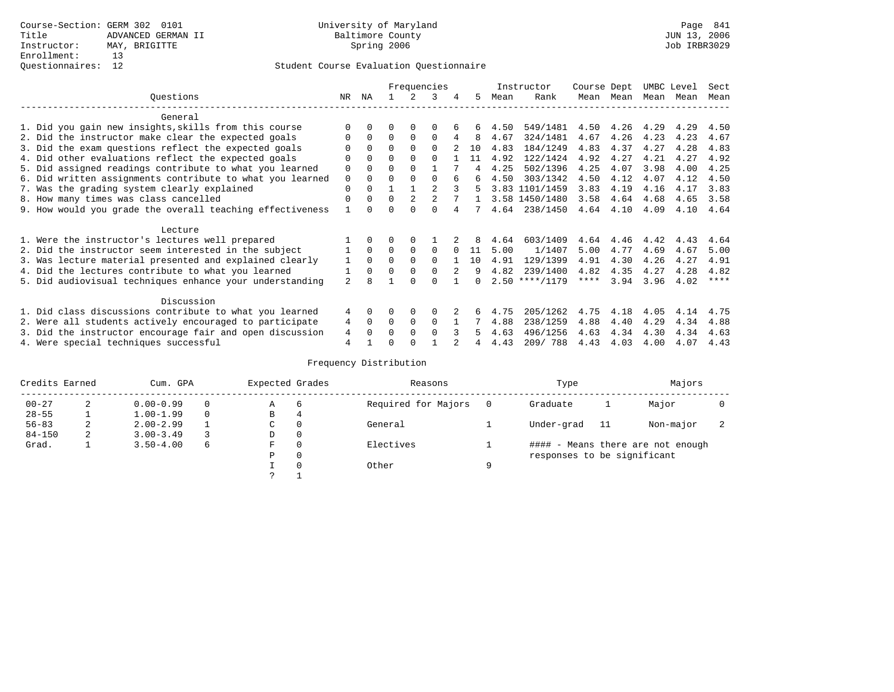|                                                           |                |              |          |                | Frequencies    |   |     |      | Instructor       | Course Dept |      | UMBC Level |      | Sect    |
|-----------------------------------------------------------|----------------|--------------|----------|----------------|----------------|---|-----|------|------------------|-------------|------|------------|------|---------|
| Ouestions                                                 | NR.            | ΝA           |          |                | 3              |   | 5.  | Mean | Rank             | Mean        | Mean | Mean       | Mean | Mean    |
| General                                                   |                |              |          |                |                |   |     |      |                  |             |      |            |      |         |
| 1. Did you gain new insights, skills from this course     | ∩              |              | O        | 0              | $\Omega$       |   |     | 4.50 | 549/1481         | 4.50        | 4.26 | 4.29       | 4.29 | 4.50    |
| 2. Did the instructor make clear the expected goals       | $\Omega$       | $\Omega$     | $\Omega$ | $\Omega$       | $\Omega$       | 4 | 8   | 4.67 | 324/1481         | 4.67        | 4.26 | 4.23       | 4.23 | 4.67    |
| 3. Did the exam questions reflect the expected goals      |                |              | $\Omega$ | $\Omega$       | $\Omega$       |   | 1 O | 4.83 | 184/1249         | 4.83        | 4.37 | 4.27       | 4.28 | 4.83    |
| 4. Did other evaluations reflect the expected goals       | $\Omega$       |              | $\Omega$ |                | $\cap$         |   | 11  | 4.92 | 122/1424         | 4.92        | 4.27 | 4.21       | 4.27 | 4.92    |
| 5. Did assigned readings contribute to what you learned   | 0              |              | $\Omega$ |                |                |   |     | 4.25 | 502/1396         | 4.25        | 4.07 | 3.98       | 4.00 | 4.25    |
| 6. Did written assignments contribute to what you learned | $\mathbf 0$    |              | $\Omega$ |                | $\cap$         |   | 6   | 4.50 | 303/1342         | 4.50        | 4.12 | 4.07       | 4.12 | 4.50    |
| 7. Was the grading system clearly explained               | $\Omega$       |              |          |                |                |   | 5   |      | 3.83 1101/1459   | 3.83        | 4.19 | 4.16       | 4.17 | 3.83    |
| 8. How many times was class cancelled                     | $\Omega$       | <sup>0</sup> | $\Omega$ | $\mathfrak{D}$ | $\mathfrak{D}$ |   |     |      | 3.58 1450/1480   | 3.58        | 4.64 | 4.68       | 4.65 | 3.58    |
| 9. How would you grade the overall teaching effectiveness |                |              | U        | ∩              | $\cap$         |   |     | 4.64 | 238/1450         | 4.64        | 4.10 | 4.09       | 4.10 | 4.64    |
| Lecture                                                   |                |              |          |                |                |   |     |      |                  |             |      |            |      |         |
| 1. Were the instructor's lectures well prepared           |                |              |          |                |                |   |     | 4.64 | 603/1409         | 4.64        | 4.46 | 4.42       | 4.43 | 4.64    |
| 2. Did the instructor seem interested in the subject      |                | $\Omega$     | $\Omega$ | $\Omega$       | $\Omega$       |   | 11  | 5.00 | 1/1407           | 5.00        | 4.77 | 4.69       | 4.67 | 5.00    |
| 3. Was lecture material presented and explained clearly   |                | $\Omega$     | $\Omega$ |                | $\Omega$       |   | 10  | 4.91 | 129/1399         | 4.91        | 4.30 | 4.26       | 4.27 | 4.91    |
| 4. Did the lectures contribute to what you learned        |                | $\Omega$     | $\Omega$ |                | $\Omega$       |   | 9   | 4.82 | 239/1400         | 4.82        | 4.35 | 4.27       | 4.28 | 4.82    |
| 5. Did audiovisual techniques enhance your understanding  | 2              |              |          |                |                |   |     |      | $2.50$ ****/1179 | $***$ * *   | 3.94 | 3.96       | 4.02 | $***$ * |
|                                                           |                |              |          |                |                |   |     |      |                  |             |      |            |      |         |
| Discussion                                                |                |              |          |                |                |   |     |      |                  |             |      |            |      |         |
| 1. Did class discussions contribute to what you learned   | 4              | 0            | 0        | 0              | $\Omega$       |   |     | 4.75 | 205/1262         | 4.75        | 4.18 | 4.05       | 4.14 | 4.75    |
| 2. Were all students actively encouraged to participate   | 4              | $\Omega$     | $\Omega$ | 0              | $\Omega$       |   |     | 4.88 | 238/1259         | 4.88        | 4.40 | 4.29       | 4.34 | 4.88    |
| 3. Did the instructor encourage fair and open discussion  | 4              |              | O        | $\Omega$       | $\Omega$       |   |     | 4.63 | 496/1256         | 4.63        | 4.34 | 4.30       | 4.34 | 4.63    |
| 4. Were special techniques successful                     | $\overline{4}$ |              | U        |                |                |   |     | 4.43 | 209/788          | 4.43        | 4.03 | 4.00       | 4.07 | 4.43    |

| Credits Earned |   | Cum. GPA      |   | Expected Grades |          | Reasons             |   | Type                        |    | Majors                            |  |
|----------------|---|---------------|---|-----------------|----------|---------------------|---|-----------------------------|----|-----------------------------------|--|
| $00 - 27$      | 2 | $0.00 - 0.99$ |   | Α               | -6       | Required for Majors |   | Graduate                    |    | Major                             |  |
| $28 - 55$      |   | $1.00 - 1.99$ |   | B               | 4        |                     |   |                             |    |                                   |  |
| $56 - 83$      | 2 | $2.00 - 2.99$ |   | C               | 0        | General             |   | Under-grad                  | 11 | Non-major                         |  |
| $84 - 150$     | 2 | $3.00 - 3.49$ |   | D               | 0        |                     |   |                             |    |                                   |  |
| Grad.          |   | $3.50 - 4.00$ | 6 | F               | 0        | Electives           |   |                             |    | #### - Means there are not enough |  |
|                |   |               |   | Ρ               | 0        |                     |   | responses to be significant |    |                                   |  |
|                |   |               |   |                 | $\Omega$ | Other               | Q |                             |    |                                   |  |
|                |   |               |   | っ               |          |                     |   |                             |    |                                   |  |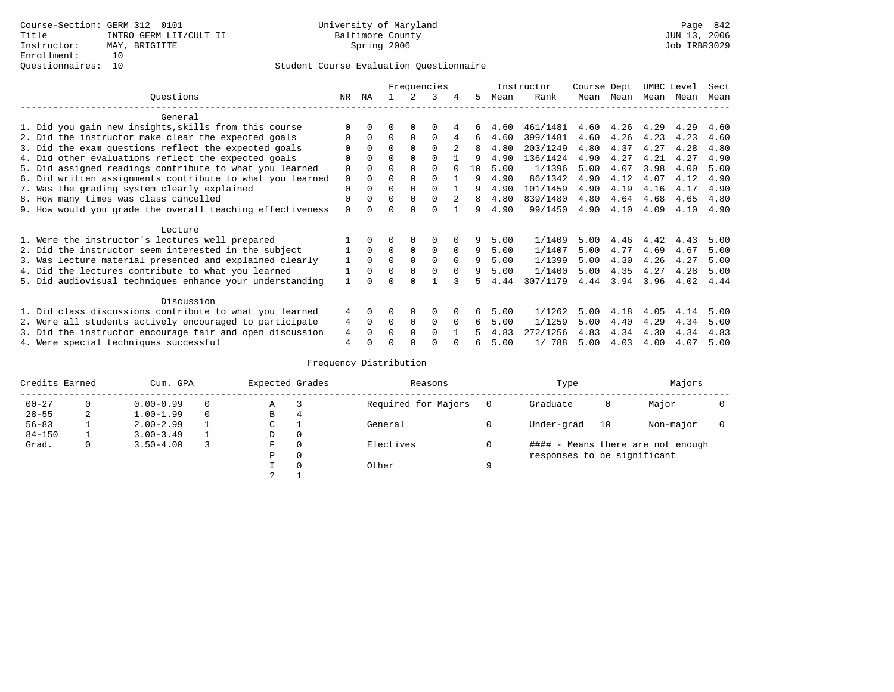## Questionnaires: 10 Student Course Evaluation Questionnaire

|                                                           |          |             |          |             | Frequencies |          |    |      | Instructor | Course Dept |      |      | UMBC Level | Sect |
|-----------------------------------------------------------|----------|-------------|----------|-------------|-------------|----------|----|------|------------|-------------|------|------|------------|------|
| Ouestions                                                 | NR.      | ΝA          |          |             | ર           | 4        | 5  | Mean | Rank       | Mean        | Mean |      | Mean Mean  | Mean |
| General                                                   |          |             |          |             |             |          |    |      |            |             |      |      |            |      |
| 1. Did you gain new insights, skills from this course     |          |             |          | O           | O           |          | 6  | 4.60 | 461/1481   | 4.60        | 4.26 | 4.29 | 4.29       | 4.60 |
| 2. Did the instructor make clear the expected goals       |          | $\Omega$    | $\Omega$ | $\mathbf 0$ | $\Omega$    | 4        | 6  | 4.60 | 399/1481   | 4.60        | 4.26 | 4.23 | 4.23       | 4.60 |
| 3. Did the exam questions reflect the expected goals      |          | $\Omega$    | 0        | $\Omega$    | $\Omega$    |          | 8  | 4.80 | 203/1249   | 4.80        | 4.37 | 4.27 | 4.28       | 4.80 |
| 4. Did other evaluations reflect the expected goals       | 0        | $\Omega$    | 0        | $\Omega$    | $\Omega$    |          | 9  | 4.90 | 136/1424   | 4.90        | 4.27 | 4.21 | 4.27       | 4.90 |
| 5. Did assigned readings contribute to what you learned   | 0        | $\Omega$    | U        | $\Omega$    | $\Omega$    |          | 10 | 5.00 | 1/1396     | 5.00        | 4.07 | 3.98 | 4.00       | 5.00 |
| 6. Did written assignments contribute to what you learned | $\Omega$ | $\Omega$    | 0        | $\Omega$    |             |          | q  | 4.90 | 86/1342    | 4.90        | 4.12 | 4.07 | 4.12       | 4.90 |
| 7. Was the grading system clearly explained               | $\Omega$ | $\Omega$    | 0        | $\Omega$    | $\Omega$    |          | q  | 4.90 | 101/1459   | 4.90        | 4.19 | 4.16 | 4.17       | 4.90 |
| 8. How many times was class cancelled                     | $\Omega$ | $\Omega$    | $\Omega$ | $\Omega$    | 0           | 2        | 8  | 4.80 | 839/1480   | 4.80        | 4.64 | 4.68 | 4.65       | 4.80 |
| 9. How would you grade the overall teaching effectiveness | $\Omega$ |             |          | $\cap$      | $\cap$      |          | 9  | 4.90 | 99/1450    | 4.90        | 4.10 | 4.09 | 4.10       | 4.90 |
| Lecture                                                   |          |             |          |             |             |          |    |      |            |             |      |      |            |      |
| 1. Were the instructor's lectures well prepared           |          |             |          | 0           | 0           |          | 9  | 5.00 | 1/1409     | 5.00        | 4.46 | 4.42 | 4.43       | 5.00 |
| 2. Did the instructor seem interested in the subject      |          | $\Omega$    | $\Omega$ | $\mathbf 0$ | 0           | $\Omega$ | 9  | 5.00 | 1/1407     | 5.00        | 4.77 | 4.69 | 4.67       | 5.00 |
| 3. Was lecture material presented and explained clearly   |          | $\Omega$    | 0        | $\Omega$    | $\Omega$    | $\Omega$ | 9  | 5.00 | 1/1399     | 5.00        | 4.30 | 4.26 | 4.27       | 5.00 |
| 4. Did the lectures contribute to what you learned        |          | $\Omega$    | $\Omega$ | $\Omega$    | $\Omega$    | $\Omega$ | 9  | 5.00 | 1/1400     | 5.00        | 4.35 | 4.27 | 4.28       | 5.00 |
| 5. Did audiovisual techniques enhance your understanding  |          | ∩           |          | U           |             |          |    | 4.44 | 307/1179   | 4.44        | 3.94 | 3.96 | 4.02       | 4.44 |
| Discussion                                                |          |             |          |             |             |          |    |      |            |             |      |      |            |      |
| 1. Did class discussions contribute to what you learned   | 4        |             |          | $\Omega$    | $\Omega$    |          | 6  | 5.00 | 1/1262     | 5.00        | 4.18 | 4.05 | 4.14       | 5.00 |
| 2. Were all students actively encouraged to participate   | 4        | $\mathbf 0$ | $\Omega$ | $\mathbf 0$ | 0           | $\Omega$ | 6  | 5.00 | 1/1259     | 5.00        | 4.40 | 4.29 | 4.34       | 5.00 |
| 3. Did the instructor encourage fair and open discussion  | 4        |             | U        | $\Omega$    | $\Omega$    |          |    | 4.83 | 272/1256   | 4.83        | 4.34 | 4.30 | 4.34       | 4.83 |
| 4. Were special techniques successful                     | 4        |             |          |             | O           |          | 6  | 5.00 | 1/788      | 5.00        | 4.03 | 4.00 | 4.07       | 5.00 |

| Credits Earned |   | Cum. GPA      | Expected Grades |          | Reasons             |   | Type                        |    | Majors                            |  |
|----------------|---|---------------|-----------------|----------|---------------------|---|-----------------------------|----|-----------------------------------|--|
| $00 - 27$      | 0 | $0.00 - 0.99$ | Α               |          | Required for Majors |   | Graduate                    | 0  | Major                             |  |
| $28 - 55$      | 2 | $1.00 - 1.99$ | B               | 4        |                     |   |                             |    |                                   |  |
| $56 - 83$      |   | $2.00 - 2.99$ | ◡               |          | General             |   | Under-grad                  | 10 | Non-major                         |  |
| $84 - 150$     |   | $3.00 - 3.49$ | D               | 0        |                     |   |                             |    |                                   |  |
| Grad.          | 0 | $3.50 - 4.00$ | F               | 0        | Electives           |   |                             |    | #### - Means there are not enough |  |
|                |   |               | Ρ               | 0        |                     |   | responses to be significant |    |                                   |  |
|                |   |               |                 | $\Omega$ | Other               | Q |                             |    |                                   |  |
|                |   |               | っ               |          |                     |   |                             |    |                                   |  |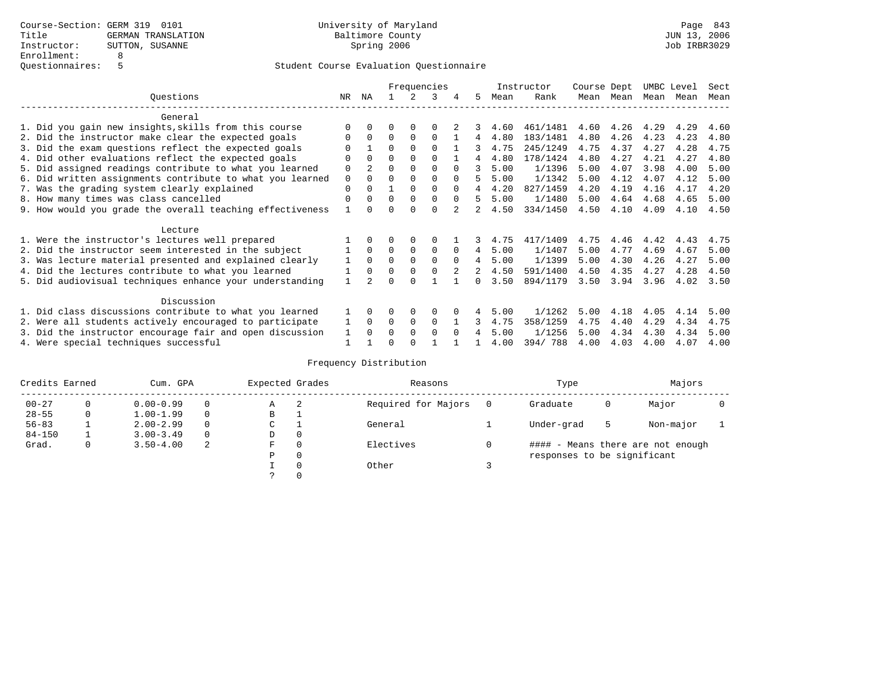|                                                           |              |                |          |             | Frequencies |          |   |      | Instructor | Course Dept |      |      | UMBC Level | Sect |
|-----------------------------------------------------------|--------------|----------------|----------|-------------|-------------|----------|---|------|------------|-------------|------|------|------------|------|
| Questions                                                 | NR           | ΝA             |          |             |             | 4        | 5 | Mean | Rank       | Mean        | Mean | Mean | Mean       | Mean |
| General                                                   |              |                |          |             |             |          |   |      |            |             |      |      |            |      |
| 1. Did you gain new insights, skills from this course     |              |                | O        |             |             |          |   | 4.60 | 461/1481   | 4.60        | 4.26 | 4.29 | 4.29       | 4.60 |
| 2. Did the instructor make clear the expected goals       |              | $\Omega$       | $\Omega$ | $\Omega$    | $\Omega$    |          | 4 | 4.80 | 183/1481   | 4.80        | 4.26 | 4.23 | 4.23       | 4.80 |
| 3. Did the exam questions reflect the expected goals      |              |                | 0        | $\Omega$    | $\Omega$    |          | 3 | 4.75 | 245/1249   | 4.75        | 4.37 | 4.27 | 4.28       | 4.75 |
| 4. Did other evaluations reflect the expected goals       | $\Omega$     | $\Omega$       | 0        | $\Omega$    | $\Omega$    |          | 4 | 4.80 | 178/1424   | 4.80        | 4.27 | 4.21 | 4.27       | 4.80 |
| 5. Did assigned readings contribute to what you learned   | $\mathbf 0$  | $\mathfrak{D}$ | $\Omega$ |             |             | $\cap$   | २ | 5.00 | 1/1396     | 5.00        | 4.07 | 3.98 | 4.00       | 5.00 |
| 6. Did written assignments contribute to what you learned | $\mathbf 0$  |                | U        |             |             |          | 5 | 5.00 | 1/1342     | 5.00        | 4.12 | 4.07 | 4.12       | 5.00 |
| 7. Was the grading system clearly explained               | $\Omega$     |                |          | $\Omega$    | $\Omega$    |          |   | 4.20 | 827/1459   | 4.20        | 4.19 | 4.16 | 4.17       | 4.20 |
| 8. How many times was class cancelled                     | $\Omega$     | $\Omega$       | 0        | $\Omega$    | $\Omega$    | $\Omega$ | 5 | 5.00 | 1/1480     | 5.00        | 4.64 | 4.68 | 4.65       | 5.00 |
| 9. How would you grade the overall teaching effectiveness |              |                |          |             | U           |          |   | 4.50 | 334/1450   | 4.50        | 4.10 | 4.09 | 4.10       | 4.50 |
| Lecture                                                   |              |                |          |             |             |          |   |      |            |             |      |      |            |      |
| 1. Were the instructor's lectures well prepared           |              |                |          |             |             |          |   | 4.75 | 417/1409   | 4.75        | 4.46 | 4.42 | 4.43       | 4.75 |
| 2. Did the instructor seem interested in the subject      |              | $\Omega$       | 0        | $\mathbf 0$ | 0           | $\Omega$ | 4 | 5.00 | 1/1407     | 5.00        | 4.77 | 4.69 | 4.67       | 5.00 |
| 3. Was lecture material presented and explained clearly   |              | $\Omega$       | 0        | $\Omega$    | $\Omega$    | $\Omega$ | 4 | 5.00 | 1/1399     | 5.00        | 4.30 | 4.26 | 4.27       | 5.00 |
| 4. Did the lectures contribute to what you learned        |              | $\Omega$       | $\Omega$ | $\Omega$    | $\Omega$    |          | 2 | 4.50 | 591/1400   | 4.50        | 4.35 | 4.27 | 4.28       | 4.50 |
| 5. Did audiovisual techniques enhance your understanding  | $\mathbf{1}$ |                |          |             |             |          |   | 3.50 | 894/1179   | 3.50        | 3.94 | 3.96 | 4.02       | 3.50 |
| Discussion                                                |              |                |          |             |             |          |   |      |            |             |      |      |            |      |
| 1. Did class discussions contribute to what you learned   |              | 0              | 0        | $\Omega$    | $\Omega$    |          |   | 5.00 | 1/1262     | 5.00        | 4.18 | 4.05 | 4.14       | 5.00 |
| 2. Were all students actively encouraged to participate   |              | $\Omega$       | $\Omega$ | $\Omega$    | $\Omega$    |          | 3 | 4.75 | 358/1259   | 4.75        | 4.40 | 4.29 | 4.34       | 4.75 |
| 3. Did the instructor encourage fair and open discussion  | 1            | $\Omega$       | 0        | $\Omega$    | $\Omega$    | $\Omega$ |   | 5.00 | 1/1256     | 5.00        | 4.34 | 4.30 | 4.34       | 5.00 |
| 4. Were special techniques successful                     |              |                |          |             |             |          |   | 4.00 | 394/788    | 4.00        | 4.03 | 4.00 | 4.07       | 4.00 |

| Credits Earned |          | Cum. GPA      |          | Expected Grades |          | Reasons             |   | Type                        |   | Majors                            |  |
|----------------|----------|---------------|----------|-----------------|----------|---------------------|---|-----------------------------|---|-----------------------------------|--|
| $00 - 27$      | $\Omega$ | $0.00 - 0.99$ |          | А               | -2       | Required for Majors | 0 | Graduate                    | 0 | Major                             |  |
| $28 - 55$      | 0        | $1.00 - 1.99$ |          | В               |          |                     |   |                             |   |                                   |  |
| $56 - 83$      |          | $2.00 - 2.99$ |          | $\sim$<br>J     |          | General             |   | Under-grad                  | 5 | Non-major                         |  |
| $84 - 150$     |          | $3.00 - 3.49$ | $\Omega$ | D               | 0        |                     |   |                             |   |                                   |  |
| Grad.          | 0        | $3.50 - 4.00$ | 2        | F               | 0        | Electives           | 0 |                             |   | #### - Means there are not enough |  |
|                |          |               |          | Ρ               | 0        |                     |   | responses to be significant |   |                                   |  |
|                |          |               |          |                 | $\Omega$ | Other               |   |                             |   |                                   |  |
|                |          |               |          |                 |          |                     |   |                             |   |                                   |  |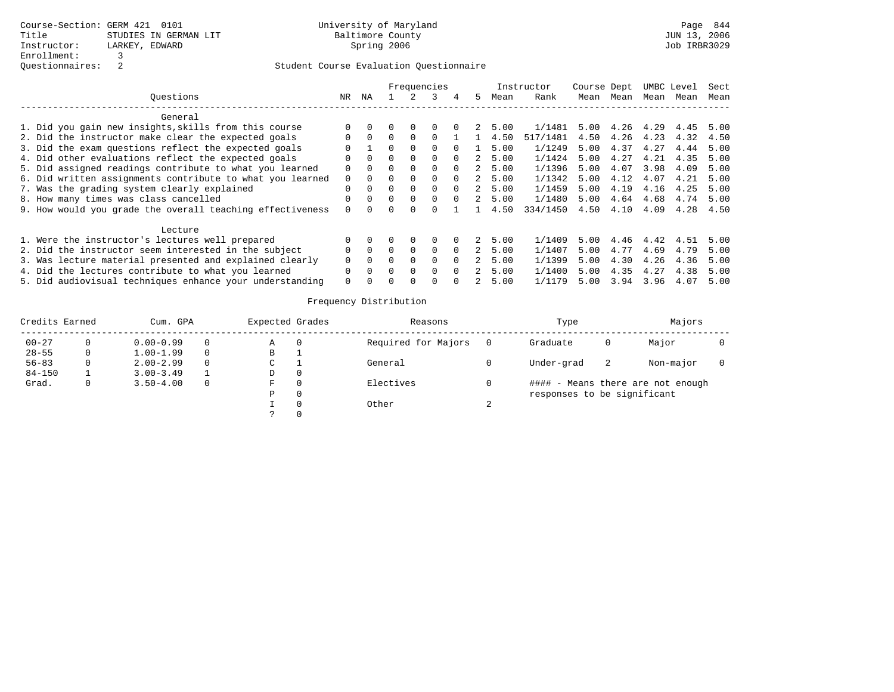|                                                           |          |              |              |          | Frequencies |          |             |      | Instructor | Course Dept |      |      | UMBC Level | Sect |
|-----------------------------------------------------------|----------|--------------|--------------|----------|-------------|----------|-------------|------|------------|-------------|------|------|------------|------|
| Ouestions                                                 | NR       | ΝA           |              |          |             | 4        | 5           | Mean | Rank       | Mean        | Mean | Mean | Mean       | Mean |
| General                                                   |          |              |              |          |             |          |             |      |            |             |      |      |            |      |
| 1. Did you gain new insights, skills from this course     |          |              |              | $\Omega$ |             |          |             | 5.00 | 1/1481     | 5.00        | 4.26 | 4.29 | 4.45       | 5.00 |
| 2. Did the instructor make clear the expected goals       | 0        | $\Omega$     | 0            | $\Omega$ | $\Omega$    |          |             | 4.50 | 517/1481   | 4.50        | 4.26 | 4.23 | 4.32       | 4.50 |
| 3. Did the exam questions reflect the expected goals      |          |              | U            | $\Omega$ | $\Omega$    | $\Omega$ |             | 5.00 | 1/1249     | 5.00        | 4.37 | 4.27 | 4.44       | 5.00 |
| 4. Did other evaluations reflect the expected goals       | 0        | $\Omega$     | 0            | $\Omega$ | $\Omega$    | $\Omega$ | 2           | 5.00 | 1/1424     | 5.00        | 4.27 | 4.21 | 4.35       | 5.00 |
| 5. Did assigned readings contribute to what you learned   | 0        | $\Omega$     |              | $\Omega$ | $\Omega$    | $\Omega$ | 2           | 5.00 | 1/1396     | 5.00        | 4.07 | 3.98 | 4.09       | 5.00 |
| 6. Did written assignments contribute to what you learned | $\Omega$ | $\Omega$     |              | $\Omega$ | $\Omega$    | $\Omega$ | 2           | 5.00 | 1/1342     | 5.00        | 4.12 | 4.07 | 4.21       | 5.00 |
| 7. Was the grading system clearly explained               | $\Omega$ | $\Omega$     | 0            | $\Omega$ | $\Omega$    | $\Omega$ | $2^{\circ}$ | 5.00 | 1/1459     | 5.00        | 4.19 | 4.16 | 4.25       | 5.00 |
| 8. How many times was class cancelled                     |          | $\Omega$     | <sup>0</sup> | $\Omega$ | 0           | $\Omega$ |             | 5.00 | 1/1480     | 5.00        | 4.64 | 4.68 | 4.74       | 5.00 |
| 9. How would you grade the overall teaching effectiveness | 0        | <sup>n</sup> |              |          |             |          |             | 4.50 | 334/1450   | 4.50        | 4.10 | 4.09 | 4.28       | 4.50 |
| Lecture                                                   |          |              |              |          |             |          |             |      |            |             |      |      |            |      |
| 1. Were the instructor's lectures well prepared           |          |              |              | $\Omega$ | 0           |          | 2           | 5.00 | 1/1409     | 5.00        | 4.46 | 4.42 | 4.51       | 5.00 |
| 2. Did the instructor seem interested in the subject      |          | $\Omega$     | 0            | $\Omega$ | $\Omega$    | $\Omega$ | 2           | 5.00 | 1/1407     | 5.00        | 4.77 | 4.69 | 4.79       | 5.00 |
| 3. Was lecture material presented and explained clearly   |          | $\Omega$     | 0            | $\Omega$ | $\Omega$    | $\Omega$ |             | 5.00 | 1/1399     | 5.00        | 4.30 | 4.26 | 4.36       | 5.00 |
| 4. Did the lectures contribute to what you learned        | 0        | $\Omega$     | 0            | $\Omega$ | $\Omega$    | $\Omega$ |             | 5.00 | 1/1400     | 5.00        | 4.35 | 4.27 | 4.38       | 5.00 |
| 5. Did audiovisual techniques enhance your understanding  | 0        |              |              |          |             |          |             | 5.00 | 1/1179     | 5.00        | 3.94 | 3.96 | 4.07       | 5.00 |

| Credits Earned |   | Cum. GPA      | Expected Grades |          | Reasons             |   | Type                        |   | Majors                            |  |
|----------------|---|---------------|-----------------|----------|---------------------|---|-----------------------------|---|-----------------------------------|--|
| $00 - 27$      |   | $0.00 - 0.99$ | Α               | 0        | Required for Majors |   | Graduate                    | 0 | Major                             |  |
| $28 - 55$      |   | $1.00 - 1.99$ | В               |          |                     |   |                             |   |                                   |  |
| $56 - 83$      |   | $2.00 - 2.99$ | C               |          | General             |   | Under-grad                  | 2 | Non-major                         |  |
| $84 - 150$     |   | $3.00 - 3.49$ | D               | $\Omega$ |                     |   |                             |   |                                   |  |
| Grad.          | 0 | $3.50 - 4.00$ | F               | $\Omega$ | Electives           |   |                             |   | #### - Means there are not enough |  |
|                |   |               | Ρ               | 0        |                     |   | responses to be significant |   |                                   |  |
|                |   |               |                 |          | Other               | ∠ |                             |   |                                   |  |
|                |   |               |                 |          |                     |   |                             |   |                                   |  |